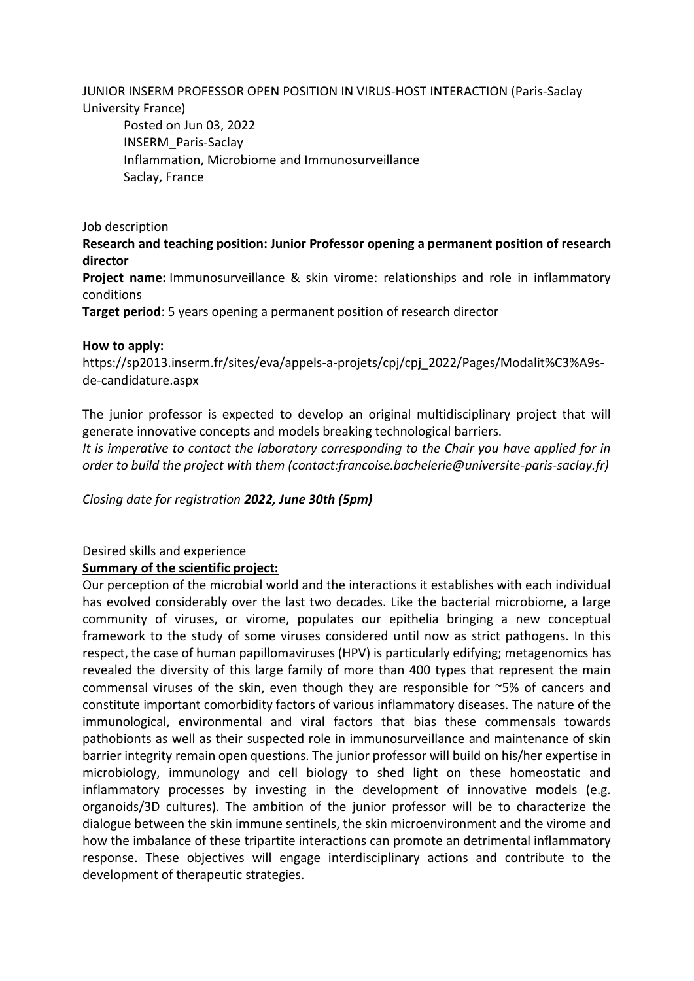JUNIOR INSERM PROFESSOR OPEN POSITION IN VIRUS-HOST INTERACTION (Paris-Saclay University France)

Posted on Jun 03, 2022 INSERM\_Paris-Saclay Inflammation, Microbiome and Immunosurveillance Saclay, France

Job description

**Research and teaching position: Junior Professor opening a permanent position of research director**

**Project name:** Immunosurveillance & skin virome: relationships and role in inflammatory conditions

**Target period**: 5 years opening a permanent position of research director

### **How to apply:**

[https://sp2013.inserm.fr/sites/eva/appels-a-projets/cpj/cpj\\_2022/Pages/Modalit%C3%A9s](https://www.researchgate.net/jobderef/965174/https%3A%2F%2Fsp2013.inserm.fr%2Fsites%2Feva%2Fappels-a-projets%2Fcpj%2Fcpj_2022%2FPages%2FModalit%25C3%25A9s-de-candidature.aspx)[de-candidature.aspx](https://www.researchgate.net/jobderef/965174/https%3A%2F%2Fsp2013.inserm.fr%2Fsites%2Feva%2Fappels-a-projets%2Fcpj%2Fcpj_2022%2FPages%2FModalit%25C3%25A9s-de-candidature.aspx)

The junior professor is expected to develop an original multidisciplinary project that will generate innovative concepts and models breaking technological barriers.

*It is imperative to contact the laboratory corresponding to the Chair you have applied for in order to build the project with them (contact:francoise.bachelerie@universite-paris-saclay.fr)*

*Closing date for registration 2022, June 30th (5pm)*

# Desired skills and experience

## **Summary of the scientific project:**

Our perception of the microbial world and the interactions it establishes with each individual has evolved considerably over the last two decades. Like the bacterial microbiome, a large community of viruses, or virome, populates our epithelia bringing a new conceptual framework to the study of some viruses considered until now as strict pathogens. In this respect, the case of human papillomaviruses (HPV) is particularly edifying; metagenomics has revealed the diversity of this large family of more than 400 types that represent the main commensal viruses of the skin, even though they are responsible for ~5% of cancers and constitute important comorbidity factors of various inflammatory diseases. The nature of the immunological, environmental and viral factors that bias these commensals towards pathobionts as well as their suspected role in immunosurveillance and maintenance of skin barrier integrity remain open questions. The junior professor will build on his/her expertise in microbiology, immunology and cell biology to shed light on these homeostatic and inflammatory processes by investing in the development of innovative models (e.g. organoids/3D cultures). The ambition of the junior professor will be to characterize the dialogue between the skin immune sentinels, the skin microenvironment and the virome and how the imbalance of these tripartite interactions can promote an detrimental inflammatory response. These objectives will engage interdisciplinary actions and contribute to the development of therapeutic strategies.